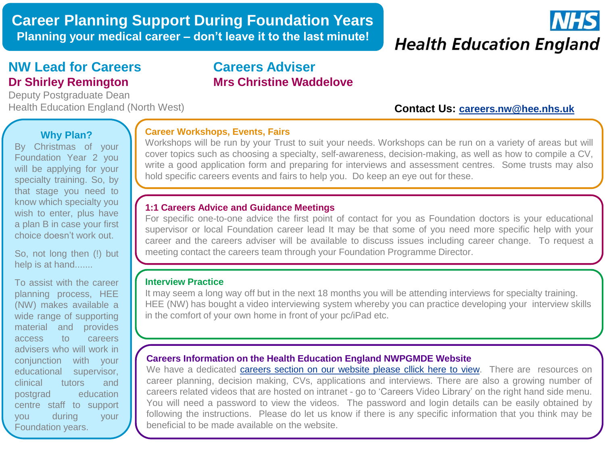

# **NW Lead for Careers Dr Shirley Remington**

Deputy Postgraduate Dean Health Education England (North West) **Contact Us: [careers.nw@hee.nhs.uk](mailto:careers.nw@hee.nhs.uk)** 

# **Careers Adviser Mrs Christine Waddelove**

# **Why Plan?**

By Christmas of your Foundation Year 2 you will be applying for your specialty training. So, by that stage you need to know which specialty you wish to enter, plus have a plan B in case your first choice doesn't work out.

So, not long then (!) but help is at hand.......

To assist with the career planning process, HEE (NW) makes available a wide range of supporting material and provides access to careers advisers who will work in conjunction with your educational supervisor, clinical tutors and postgrad education centre staff to support you during your Foundation years.

#### **Career Workshops, Events, Fairs**

Workshops will be run by your Trust to suit your needs. Workshops can be run on a variety of areas but will cover topics such as choosing a specialty, self-awareness, decision-making, as well as how to compile a CV, write a good application form and preparing for interviews and assessment centres. Some trusts may also hold specific careers events and fairs to help you. Do keep an eye out for these.

#### **1:1 Careers Advice and Guidance Meetings**

For specific one-to-one advice the first point of contact for you as Foundation doctors is your educational supervisor or local Foundation career lead It may be that some of you need more specific help with your career and the careers adviser will be available to discuss issues including career change. To request a meeting contact the careers team through your Foundation Programme Director.

### **Interview Practice**

It may seem a long way off but in the next 18 months you will be attending interviews for specialty training. HEE (NW) has bought a video interviewing system whereby you can practice developing your interview skills in the comfort of your own home in front of your pc/iPad etc.

#### **Careers Information on the Health Education England NWPGMDE Website**

We have a dedicated [careers](https://www.nwpgmd.nhs.uk/careers_advice/careers) [section](https://www.nwpgmd.nhs.uk/careers_advice/careers) [on](https://www.nwpgmd.nhs.uk/careers_advice/careers) [our](https://www.nwpgmd.nhs.uk/careers_advice/careers) [website](https://www.nwpgmd.nhs.uk/careers_advice/careers) [please](https://www.nwpgmd.nhs.uk/careers_advice/careers) [cllick](https://www.nwpgmd.nhs.uk/careers_advice/careers) [here](https://www.nwpgmd.nhs.uk/careers_advice/careers) [to](https://www.nwpgmd.nhs.uk/careers_advice/careers) [view.](https://www.nwpgmd.nhs.uk/careers_advice/careers) There are resources on career planning, decision making, CVs, applications and interviews. There are also a growing number of careers related videos that are hosted on intranet - go to 'Careers Video Library' on the right hand side menu. You will need a password to view the videos. The password and login details can be easily obtained by following the instructions. Please do let us know if there is any specific information that you think may be beneficial to be made available on the website.